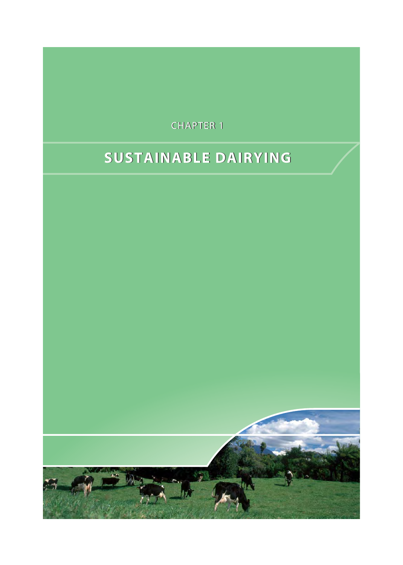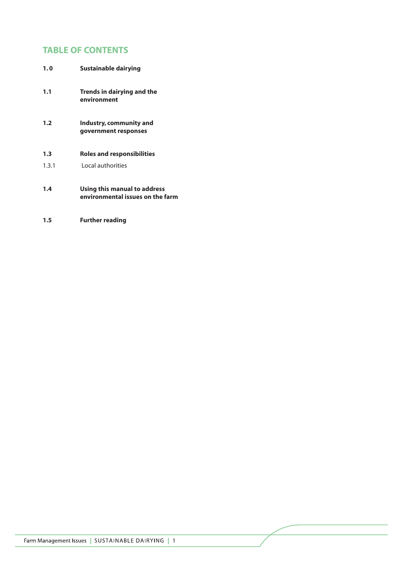# **TABLE OF CONTENTS**

| 1.0   | Sustainable dairying                                             |
|-------|------------------------------------------------------------------|
| 1.1   | Trends in dairying and the<br>environment                        |
| 1.2   | Industry, community and<br>government responses                  |
| 1.3   | Roles and responsibilities                                       |
| 1.3.1 | Local authorities                                                |
| 1.4   | Using this manual to address<br>environmental issues on the farm |

**1.5 Further reading**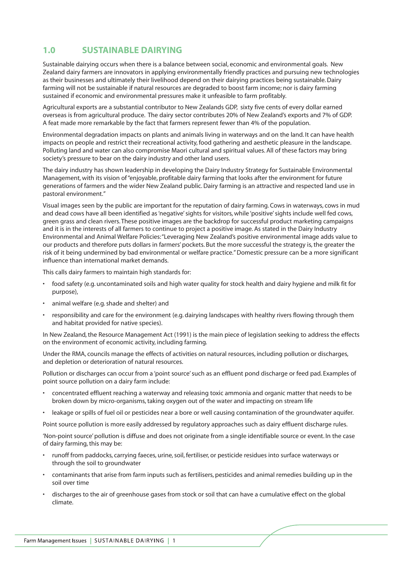### **1.0 SUSTAINABLE DAIRYING**

Sustainable dairying occurs when there is a balance between social, economic and environmental goals. New Zealand dairy farmers are innovators in applying environmentally friendly practices and pursuing new technologies as their businesses and ultimately their livelihood depend on their dairying practices being sustainable. Dairy farming will not be sustainable if natural resources are degraded to boost farm income; nor is dairy farming sustained if economic and environmental pressures make it unfeasible to farm profitably.

Agricultural exports are a substantial contributor to New Zealands GDP, sixty five cents of every dollar earned overseas is from agricultural produce. The dairy sector contributes 20% of New Zealand's exports and 7% of GDP. A feat made more remarkable by the fact that farmers represent fewer than 4% of the population.

Environmental degradation impacts on plants and animals living in waterways and on the land. It can have health impacts on people and restrict their recreational activity, food gathering and aesthetic pleasure in the landscape. Polluting land and water can also compromise Maori cultural and spiritual values. All of these factors may bring society's pressure to bear on the dairy industry and other land users.

The dairy industry has shown leadership in developing the Dairy Industry Strategy for Sustainable Environmental Management, with its vision of "enjoyable, profitable dairy farming that looks after the environment for future generations of farmers and the wider New Zealand public. Dairy farming is an attractive and respected land use in pastoral environment."

Visual images seen by the public are important for the reputation of dairy farming. Cows in waterways, cows in mud and dead cows have all been identified as 'negative' sights for visitors, while 'positive' sights include well fed cows, green grass and clean rivers. These positive images are the backdrop for successful product marketing campaigns and it is in the interests of all farmers to continue to project a positive image. As stated in the Dairy Industry Environmental and Animal Welfare Policies:"Leveraging New Zealand's positive environmental image adds value to our products and therefore puts dollars in farmers' pockets. But the more successful the strategy is, the greater the risk of it being undermined by bad environmental or welfare practice." Domestic pressure can be a more significant influence than international market demands.

This calls dairy farmers to maintain high standards for:

- food safety (e.g. uncontaminated soils and high water quality for stock health and dairy hygiene and milk fit for purpose),
- animal welfare (e.g. shade and shelter) and
- responsibility and care for the environment (e.g. dairying landscapes with healthy rivers flowing through them and habitat provided for native species).

In New Zealand, the Resource Management Act (1991) is the main piece of legislation seeking to address the effects on the environment of economic activity, including farming.

Under the RMA, councils manage the effects of activities on natural resources, including pollution or discharges, and depletion or deterioration of natural resources.

Pollution or discharges can occur from a 'point source' such as an effluent pond discharge or feed pad. Examples of point source pollution on a dairy farm include:

- concentrated effluent reaching a waterway and releasing toxic ammonia and organic matter that needs to be broken down by micro-organisms, taking oxygen out of the water and impacting on stream life
- leakage or spills of fuel oil or pesticides near a bore or well causing contamination of the groundwater aquifer.

Point source pollution is more easily addressed by regulatory approaches such as dairy effluent discharge rules.

'Non-point source' pollution is diffuse and does not originate from a single identifiable source or event. In the case of dairy farming, this may be:

- runoff from paddocks, carrying faeces, urine, soil, fertiliser, or pesticide residues into surface waterways or through the soil to groundwater
- contaminants that arise from farm inputs such as fertilisers, pesticides and animal remedies building up in the soil over time
- discharges to the air of greenhouse gases from stock or soil that can have a cumulative effect on the global climate.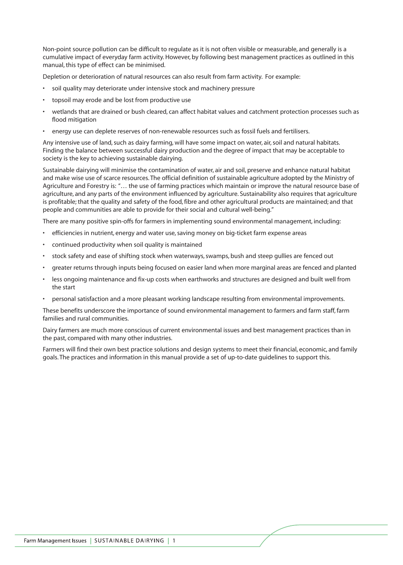Non-point source pollution can be difficult to regulate as it is not often visible or measurable, and generally is a cumulative impact of everyday farm activity. However, by following best management practices as outlined in this manual, this type of effect can be minimised.

Depletion or deterioration of natural resources can also result from farm activity. For example:

- soil quality may deteriorate under intensive stock and machinery pressure
- topsoil may erode and be lost from productive use
- wetlands that are drained or bush cleared, can affect habitat values and catchment protection processes such as flood mitigation
- energy use can deplete reserves of non-renewable resources such as fossil fuels and fertilisers.

Any intensive use of land, such as dairy farming, will have some impact on water, air, soil and natural habitats. Finding the balance between successful dairy production and the degree of impact that may be acceptable to society is the key to achieving sustainable dairying.

Sustainable dairying will minimise the contamination of water, air and soil, preserve and enhance natural habitat and make wise use of scarce resources. The official definition of sustainable agriculture adopted by the Ministry of Agriculture and Forestry is: "… the use of farming practices which maintain or improve the natural resource base of agriculture, and any parts of the environment influenced by agriculture. Sustainability also requires that agriculture is profitable; that the quality and safety of the food, fibre and other agricultural products are maintained; and that people and communities are able to provide for their social and cultural well-being."

There are many positive spin-offs for farmers in implementing sound environmental management, including:

- efficiencies in nutrient, energy and water use, saving money on big-ticket farm expense areas
- continued productivity when soil quality is maintained
- stock safety and ease of shifting stock when waterways, swamps, bush and steep gullies are fenced out
- greater returns through inputs being focused on easier land when more marginal areas are fenced and planted
- less ongoing maintenance and fix-up costs when earthworks and structures are designed and built well from the start
- personal satisfaction and a more pleasant working landscape resulting from environmental improvements.

These benefits underscore the importance of sound environmental management to farmers and farm staff, farm families and rural communities.

Dairy farmers are much more conscious of current environmental issues and best management practices than in the past, compared with many other industries.

Farmers will find their own best practice solutions and design systems to meet their financial, economic, and family goals. The practices and information in this manual provide a set of up-to-date guidelines to support this.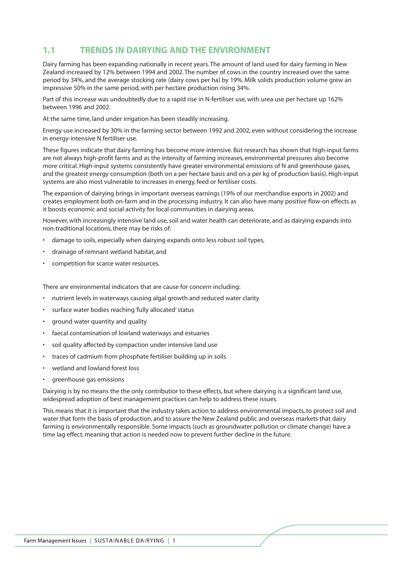### **1.1 TRENDS IN DAIRYING AND THE ENVIRONMENT**

Dairy farming has been expanding nationally in recent years. The amount of land used for dairy farming in New Zealand increased by 12% between 1994 and 2002. The number of cows in the country increased over the same period by 34%, and the average stocking rate (dairy cows per ha) by 19%. Milk solids production volume grew an impressive 50% in the same period, with per hectare production rising 34%.

Part of this increase was undoubtedly due to a rapid rise in N-fertiliser use, with urea use per hectare up 162% between 1996 and 2002.

At the same time, land under irrigation has been steadily increasing.

Energy use increased by 30% in the farming sector between 1992 and 2002, even without considering the increase in energy-intensive N fertiliser use.

These figures indicate that dairy farming has become more intensive. But research has shown that high-input farms are not always high-profit farms and as the intensity of farming increases, environmental pressures also become more critical. High-input systems consistently have greater environmental emissions of N and greenhouse gases, and the greatest energy consumption (both on a per hectare basis and on a per kg of production basis). High-input systems are also most vulnerable to increases in energy, feed or fertiliser costs.

The expansion of dairying brings in important overseas earnings (19% of our merchandise exports in 2002) and creates employment both on-farm and in the processing industry. It can also have many positive flow-on effects as it boosts economic and social activity for local communities in dairying areas.

However, with increasingly intensive land use, soil and water health can deteriorate, and as dairying expands into non-traditional locations, there may be risks of:

- damage to soils, especially when dairying expands onto less robust soil types,
- drainage of remnant wetland habitat, and
- competition for scarce water resources.

There are environmental indicators that are cause for concern including:

- nutrient levels in waterways causing algal growth and reduced water clarity
- surface water bodies reaching 'fully allocated' status
- ground water quantity and quality
- faecal contamination of lowland waterways and estuaries
- soil quality affected by compaction under intensive land use
- traces of cadmium from phosphate fertiliser building up in soils
- wetland and lowland forest loss
- greenhouse gas emissions

Dairying is by no means the the only contributior to these effects, but where dairying is a significant land use, widespread adoption of best management practices can help to address these issues.

This means that it is important that the industry takes action to address environmental impacts, to protect soil and water that form the basis of production, and to assure the New Zealand public and overseas markets that dairy farming is environmentally responsible. Some impacts (such as groundwater pollution or climate change) have a time lag effect, meaning that action is needed now to prevent further decline in the future.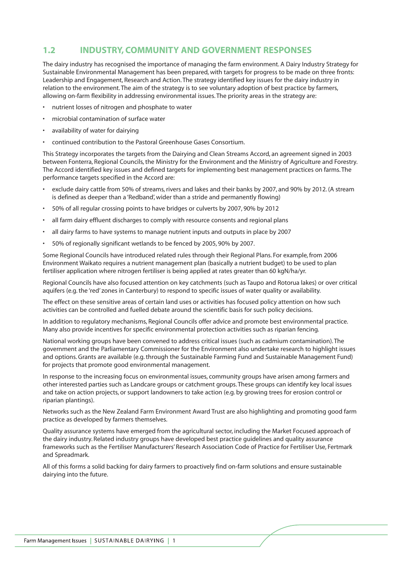### **1.2 INDUSTRY, COMMUNITY AND GOVERNMENT RESPONSES**

The dairy industry has recognised the importance of managing the farm environment. A Dairy Industry Strategy for Sustainable Environmental Management has been prepared, with targets for progress to be made on three fronts: Leadership and Engagement, Research and Action. The strategy identified key issues for the dairy industry in relation to the environment. The aim of the strategy is to see voluntary adoption of best practice by farmers, allowing on-farm flexibility in addressing environmental issues. The priority areas in the strategy are:

- nutrient losses of nitrogen and phosphate to water
- microbial contamination of surface water
- availability of water for dairying
- continued contribution to the Pastoral Greenhouse Gases Consortium.

This Strategy incorporates the targets from the Dairying and Clean Streams Accord, an agreement signed in 2003 between Fonterra, Regional Councils, the Ministry for the Environment and the Ministry of Agriculture and Forestry. The Accord identified key issues and defined targets for implementing best management practices on farms. The performance targets specified in the Accord are:

- exclude dairy cattle from 50% of streams, rivers and lakes and their banks by 2007, and 90% by 2012. (A stream is defined as deeper than a 'Redband', wider than a stride and permanently flowing)
- 50% of all regular crossing points to have bridges or culverts by 2007, 90% by 2012
- all farm dairy effluent discharges to comply with resource consents and regional plans
- all dairy farms to have systems to manage nutrient inputs and outputs in place by 2007
- 50% of regionally significant wetlands to be fenced by 2005, 90% by 2007.

Some Regional Councils have introduced related rules through their Regional Plans. For example, from 2006 Environment Waikato requires a nutrient management plan (basically a nutrient budget) to be used to plan fertiliser application where nitrogen fertiliser is being applied at rates greater than 60 kgN/ha/yr.

Regional Councils have also focused attention on key catchments (such as Taupo and Rotorua lakes) or over critical aquifers (e.g. the 'red' zones in Canterbury) to respond to specific issues of water quality or availability.

The effect on these sensitive areas of certain land uses or activities has focused policy attention on how such activities can be controlled and fuelled debate around the scientific basis for such policy decisions.

In addition to regulatory mechanisms, Regional Councils offer advice and promote best environmental practice. Many also provide incentives for specific environmental protection activities such as riparian fencing.

National working groups have been convened to address critical issues (such as cadmium contamination). The government and the Parliamentary Commissioner for the Environment also undertake research to highlight issues and options. Grants are available (e.g. through the Sustainable Farming Fund and Sustainable Management Fund) for projects that promote good environmental management.

In response to the increasing focus on environmental issues, community groups have arisen among farmers and other interested parties such as Landcare groups or catchment groups. These groups can identify key local issues and take on action projects, or support landowners to take action (e.g. by growing trees for erosion control or riparian plantings).

Networks such as the New Zealand Farm Environment Award Trust are also highlighting and promoting good farm practice as developed by farmers themselves.

Quality assurance systems have emerged from the agricultural sector, including the Market Focused approach of the dairy industry. Related industry groups have developed best practice guidelines and quality assurance frameworks such as the Fertiliser Manufacturers' Research Association Code of Practice for Fertiliser Use, Fertmark and Spreadmark.

All of this forms a solid backing for dairy farmers to proactively find on-farm solutions and ensure sustainable dairying into the future.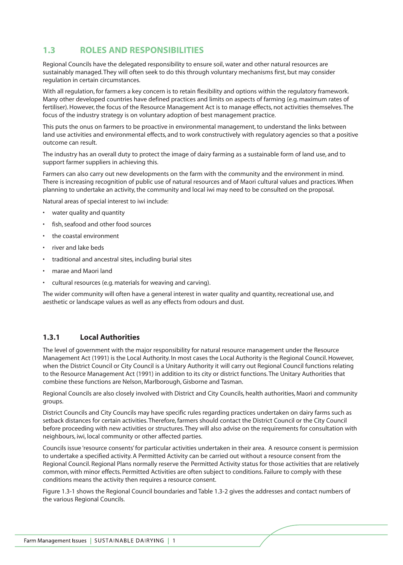### **1.3 ROLES AND RESPONSIBILITIES**

Regional Councils have the delegated responsibility to ensure soil, water and other natural resources are sustainably managed. They will often seek to do this through voluntary mechanisms first, but may consider regulation in certain circumstances.

With all regulation, for farmers a key concern is to retain flexibility and options within the regulatory framework. Many other developed countries have defined practices and limits on aspects of farming (e.g. maximum rates of fertiliser). However, the focus of the Resource Management Act is to manage effects, not activities themselves. The focus of the industry strategy is on voluntary adoption of best management practice.

This puts the onus on farmers to be proactive in environmental management, to understand the links between land use activities and environmental effects, and to work constructively with regulatory agencies so that a positive outcome can result.

The industry has an overall duty to protect the image of dairy farming as a sustainable form of land use, and to support farmer suppliers in achieving this.

Farmers can also carry out new developments on the farm with the community and the environment in mind. There is increasing recognition of public use of natural resources and of Maori cultural values and practices. When planning to undertake an activity, the community and local iwi may need to be consulted on the proposal.

Natural areas of special interest to iwi include:

- water quality and quantity
- fish, seafood and other food sources
- the coastal environment
- river and lake beds
- traditional and ancestral sites, including burial sites
- marae and Maori land
- cultural resources (e.g. materials for weaving and carving).

The wider community will often have a general interest in water quality and quantity, recreational use, and aesthetic or landscape values as well as any effects from odours and dust.

#### **1.3.1 Local Authorities**

The level of government with the major responsibility for natural resource management under the Resource Management Act (1991) is the Local Authority. In most cases the Local Authority is the Regional Council. However, when the District Council or City Council is a Unitary Authority it will carry out Regional Council functions relating to the Resource Management Act (1991) in addition to its city or district functions. The Unitary Authorities that combine these functions are Nelson, Marlborough, Gisborne and Tasman.

Regional Councils are also closely involved with District and City Councils, health authorities, Maori and community groups.

District Councils and City Councils may have specific rules regarding practices undertaken on dairy farms such as setback distances for certain activities. Therefore, farmers should contact the District Council or the City Council before proceeding with new activities or structures. They will also advise on the requirements for consultation with neighbours, iwi, local community or other affected parties.

Councils issue 'resource consents' for particular activities undertaken in their area. A resource consent is permission to undertake a specified activity. A Permitted Activity can be carried out without a resource consent from the Regional Council. Regional Plans normally reserve the Permitted Activity status for those activities that are relatively common, with minor effects. Permitted Activities are often subject to conditions. Failure to comply with these conditions means the activity then requires a resource consent.

Figure 1.3-1 shows the Regional Council boundaries and Table 1.3-2 gives the addresses and contact numbers of the various Regional Councils.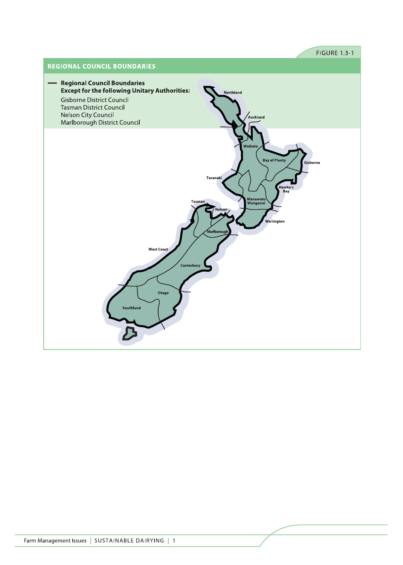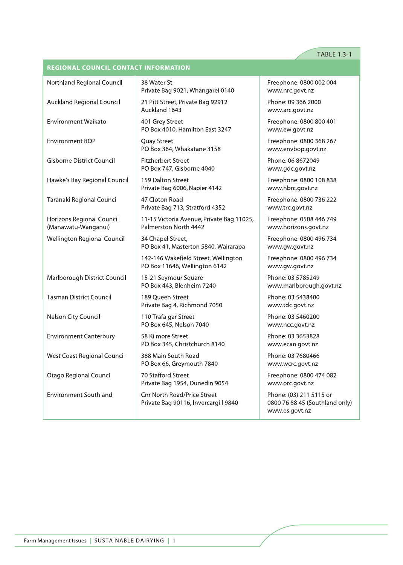### TABLE 1.3-1

### **REGIONAL COUNCIL CONTACT INFORMATION**

| Northland Regional Council                       | 38 Water St<br>Private Bag 9021, Whangarei 0140                            | Freephone: 0800 002 004<br>www.nrc.govt.nz                                  |
|--------------------------------------------------|----------------------------------------------------------------------------|-----------------------------------------------------------------------------|
| Auckland Regional Council                        | 21 Pitt Street, Private Bag 92912<br>Auckland 1643                         | Phone: 09 366 2000<br>www.arc.govt.nz                                       |
| <b>Environment Waikato</b>                       | 401 Grey Street<br>PO Box 4010, Hamilton East 3247                         | Freephone: 0800 800 401<br>www.ew.govt.nz                                   |
| <b>Environment BOP</b>                           | Quay Street<br>PO Box 364, Whakatane 3158                                  | Freephone: 0800 368 267<br>www.envbop.govt.nz                               |
| <b>Gisborne District Council</b>                 | <b>Fitzherbert Street</b><br>PO Box 747, Gisborne 4040                     | Phone: 06 8672049<br>www.gdc.govt.nz                                        |
| Hawke's Bay Regional Council                     | 159 Dalton Street<br>Private Bag 6006, Napier 4142                         | Freephone: 0800 108 838<br>www.hbrc.govt.nz                                 |
| Taranaki Regional Council                        | 47 Cloton Road<br>Private Bag 713, Stratford 4352                          | Freephone: 0800 736 222<br>www.trc.govt.nz                                  |
| Horizons Regional Council<br>(Manawatu-Wanganui) | 11-15 Victoria Avenue, Private Bag 11025,<br>Palmerston North 4442         | Freephone: 0508 446 749<br>www.horizons.govt.nz                             |
| Wellington Regional Council                      | 34 Chapel Street,<br>PO Box 41, Masterton 5840, Wairarapa                  | Freephone: 0800 496 734<br>www.gw.govt.nz                                   |
|                                                  | 142-146 Wakefield Street, Wellington<br>PO Box 11646, Wellington 6142      | Freephone: 0800 496 734<br>www.gw.govt.nz                                   |
| Marlborough District Council                     | 15-21 Seymour Square<br>PO Box 443, Blenheim 7240                          | Phone: 03 5785249<br>www.marlborough.govt.nz                                |
| <b>Tasman District Council</b>                   | 189 Queen Street<br>Private Bag 4, Richmond 7050                           | Phone: 03 5438400<br>www.tdc.govt.nz                                        |
| Nelson City Council                              | 110 Trafalgar Street<br>PO Box 645, Nelson 7040                            | Phone: 03 5460200<br>www.ncc.govt.nz                                        |
| <b>Environment Canterbury</b>                    | 58 Kilmore Street<br>PO Box 345, Christchurch 8140                         | Phone: 03 3653828<br>www.ecan.govt.nz                                       |
| West Coast Regional Council                      | 388 Main South Road<br>PO Box 66, Greymouth 7840                           | Phone: 03 7680466<br>www.wcrc.govt.nz                                       |
| <b>Otago Regional Council</b>                    | 70 Stafford Street<br>Private Bag 1954, Dunedin 9054                       | Freephone: 0800 474 082<br>www.orc.govt.nz                                  |
| <b>Environment Southland</b>                     | <b>Cnr North Road/Price Street</b><br>Private Bag 90116, Invercargill 9840 | Phone: (03) 211 5115 or<br>0800 76 88 45 (Southland only)<br>www.es.govt.nz |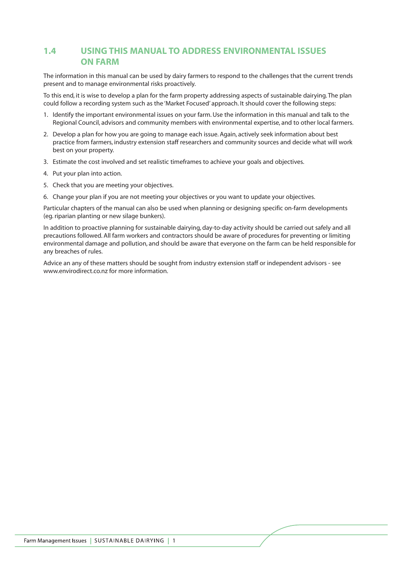## **1.4 USING THIS MANUAL TO ADDRESS ENVIRONMENTAL ISSUES ON FARM**

The information in this manual can be used by dairy farmers to respond to the challenges that the current trends present and to manage environmental risks proactively.

To this end, it is wise to develop a plan for the farm property addressing aspects of sustainable dairying. The plan could follow a recording system such as the 'Market Focused' approach. It should cover the following steps:

- 1. Identify the important environmental issues on your farm. Use the information in this manual and talk to the Regional Council, advisors and community members with environmental expertise, and to other local farmers.
- 2. Develop a plan for how you are going to manage each issue. Again, actively seek information about best practice from farmers, industry extension staff researchers and community sources and decide what will work best on your property.
- 3. Estimate the cost involved and set realistic timeframes to achieve your goals and objectives.
- 4. Put your plan into action.
- 5. Check that you are meeting your objectives.
- 6. Change your plan if you are not meeting your objectives or you want to update your objectives.

Particular chapters of the manual can also be used when planning or designing specific on-farm developments (eg. riparian planting or new silage bunkers).

In addition to proactive planning for sustainable dairying, day-to-day activity should be carried out safely and all precautions followed. All farm workers and contractors should be aware of procedures for preventing or limiting environmental damage and pollution, and should be aware that everyone on the farm can be held responsible for any breaches of rules.

Advice an any of these matters should be sought from industry extension staff or independent advisors - see www.envirodirect.co.nz for more information.